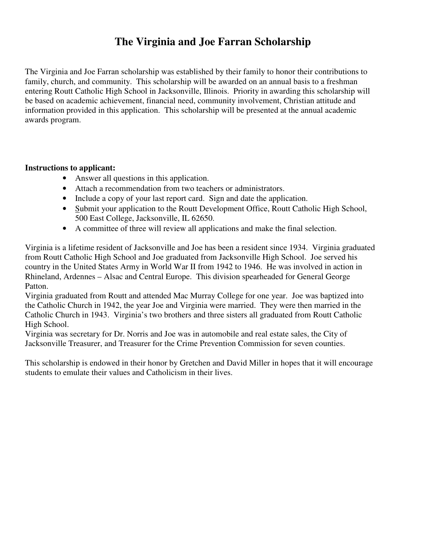## **The Virginia and Joe Farran Scholarship**

The Virginia and Joe Farran scholarship was established by their family to honor their contributions to family, church, and community. This scholarship will be awarded on an annual basis to a freshman entering Routt Catholic High School in Jacksonville, Illinois. Priority in awarding this scholarship will be based on academic achievement, financial need, community involvement, Christian attitude and information provided in this application. This scholarship will be presented at the annual academic awards program.

## **Instructions to applicant:**

- Answer all questions in this application.
- Attach a recommendation from two teachers or administrators.
- Include a copy of your last report card. Sign and date the application.
- Submit your application to the Routt Development Office, Routt Catholic High School, 500 East College, Jacksonville, IL 62650.
- A committee of three will review all applications and make the final selection.

Virginia is a lifetime resident of Jacksonville and Joe has been a resident since 1934. Virginia graduated from Routt Catholic High School and Joe graduated from Jacksonville High School. Joe served his country in the United States Army in World War II from 1942 to 1946. He was involved in action in Rhineland, Ardennes – Alsac and Central Europe. This division spearheaded for General George Patton.

Virginia graduated from Routt and attended Mac Murray College for one year. Joe was baptized into the Catholic Church in 1942, the year Joe and Virginia were married. They were then married in the Catholic Church in 1943. Virginia's two brothers and three sisters all graduated from Routt Catholic High School.

Virginia was secretary for Dr. Norris and Joe was in automobile and real estate sales, the City of Jacksonville Treasurer, and Treasurer for the Crime Prevention Commission for seven counties.

This scholarship is endowed in their honor by Gretchen and David Miller in hopes that it will encourage students to emulate their values and Catholicism in their lives.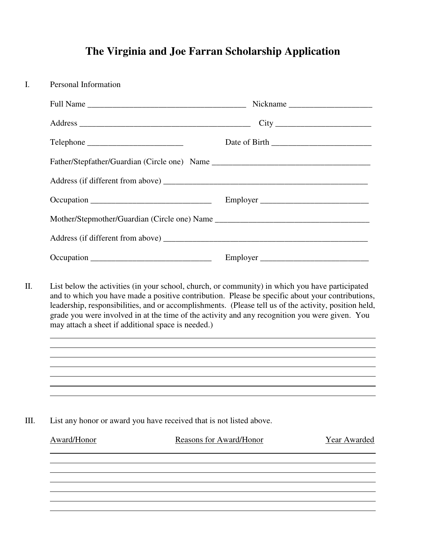## **The Virginia and Joe Farran Scholarship Application**

| Personal Information                                                                                                                                 |                                                                     |              |  |  |
|------------------------------------------------------------------------------------------------------------------------------------------------------|---------------------------------------------------------------------|--------------|--|--|
|                                                                                                                                                      |                                                                     |              |  |  |
|                                                                                                                                                      |                                                                     |              |  |  |
|                                                                                                                                                      |                                                                     |              |  |  |
|                                                                                                                                                      |                                                                     |              |  |  |
|                                                                                                                                                      |                                                                     |              |  |  |
|                                                                                                                                                      | Employer                                                            |              |  |  |
| Mother/Stepmother/Guardian (Circle one) Name ___________________________________                                                                     |                                                                     |              |  |  |
|                                                                                                                                                      |                                                                     |              |  |  |
|                                                                                                                                                      |                                                                     |              |  |  |
| grade you were involved in at the time of the activity and any recognition you were given. You<br>may attach a sheet if additional space is needed.) | <u> 1989 - Andrea Stadt Brander, amerikansk politiker (d. 1989)</u> |              |  |  |
|                                                                                                                                                      |                                                                     |              |  |  |
| List any honor or award you have received that is not listed above.                                                                                  |                                                                     |              |  |  |
| Award/Honor                                                                                                                                          | Reasons for Award/Honor                                             | Year Awarded |  |  |
|                                                                                                                                                      |                                                                     |              |  |  |
|                                                                                                                                                      |                                                                     |              |  |  |
|                                                                                                                                                      |                                                                     |              |  |  |
|                                                                                                                                                      |                                                                     |              |  |  |